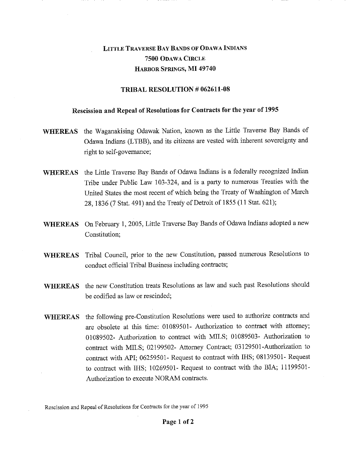## LITTLE TRAVERSE BAY BANDS OF ODAWA INDIANS 7500 ODAWA CIRCLE HARBOR SPRINGS, MI 49740

## TRIBAL RESOLUTION # 062611-08

## Rescission and Repeal of Resolutions for Contracts for the year of 1995

- WHEREAS the Waganakising Odawak Nation, known as the Little Traverse Bay Bands of Odawa Indians (LTBB), and its citizens are vested with inherent sovereignty and right to self-governance;
- WHEREAS the Little Traverse Bay Bands of Odawa Indians is a federally recognized Indian Tribe under Public Law 103-324, and is a party to numerous Treaties with the United States the most recent of which being the Treaty of Washington of March 28, 1836 (7 Stat. 491) and the Treaty of Detroit of 1855 (11 Stat. 621);
- WHEREAS On February 1, 2005, Little Traverse Bay Bands of Odawa Indians adopted a new Constitution;
- WHEREAS Tribal Council, prior to the new Constitution, passed numerous Resolutions to conduct official Tribal Business including contracts;
- WHEREAS the new Constitution treats Resolutions as law and such past Resolutions should be codified as law or rescinded;
- WHEREAS the following pre-Constitution Resolutions were used to authorize contracts and are obsolete at this time: 01089501- Authorization to contract with attorney; 01089502- Authorization to contract with MILS; 01089503- Authorization to contract with MILS; 02199502- Attorney Contract; 03129501-Authorization to contract with API; 06259501- Request to contract with IHS; 08139501- Request to contract with IHS; 10269501- Request to contract with the BIA; 11199501- Authorization to execute NORAM contracts.

Rescission and Repeal of Resolutions for Contracts for the year of 1995